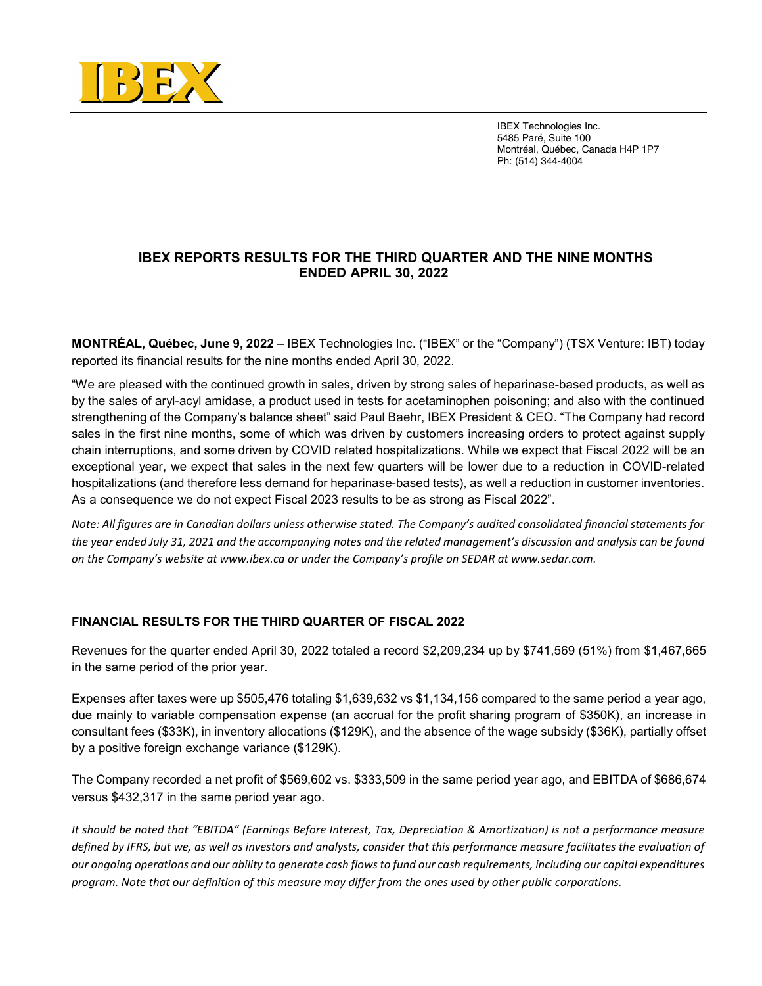

ı

 IBEX Technologies Inc. 5485 Paré, Suite 100 Montréal, Québec, Canada H4P 1P7 Ph: (514) 344-4004

## IBEX REPORTS RESULTS FOR THE THIRD QUARTER AND THE NINE MONTHS ENDED APRIL 30, 2022

MONTRÉAL, Québec, June 9, 2022 – IBEX Technologies Inc. ("IBEX" or the "Company") (TSX Venture: IBT) today reported its financial results for the nine months ended April 30, 2022.

"We are pleased with the continued growth in sales, driven by strong sales of heparinase-based products, as well as by the sales of aryl-acyl amidase, a product used in tests for acetaminophen poisoning; and also with the continued strengthening of the Company's balance sheet" said Paul Baehr, IBEX President & CEO. "The Company had record sales in the first nine months, some of which was driven by customers increasing orders to protect against supply chain interruptions, and some driven by COVID related hospitalizations. While we expect that Fiscal 2022 will be an exceptional year, we expect that sales in the next few quarters will be lower due to a reduction in COVID-related hospitalizations (and therefore less demand for heparinase-based tests), as well a reduction in customer inventories. As a consequence we do not expect Fiscal 2023 results to be as strong as Fiscal 2022".

Note: All figures are in Canadian dollars unless otherwise stated. The Company's audited consolidated financial statements for the year ended July 31, 2021 and the accompanying notes and the related management's discussion and analysis can be found on the Company's website at www.ibex.ca or under the Company's profile on SEDAR at www.sedar.com.

### FINANCIAL RESULTS FOR THE THIRD QUARTER OF FISCAL 2022

Revenues for the quarter ended April 30, 2022 totaled a record \$2,209,234 up by \$741,569 (51%) from \$1,467,665 in the same period of the prior year.

Expenses after taxes were up \$505,476 totaling \$1,639,632 vs \$1,134,156 compared to the same period a year ago, due mainly to variable compensation expense (an accrual for the profit sharing program of \$350K), an increase in consultant fees (\$33K), in inventory allocations (\$129K), and the absence of the wage subsidy (\$36K), partially offset by a positive foreign exchange variance (\$129K).

The Company recorded a net profit of \$569,602 vs. \$333,509 in the same period year ago, and EBITDA of \$686,674 versus \$432,317 in the same period year ago.

It should be noted that "EBITDA" (Earnings Before Interest, Tax, Depreciation & Amortization) is not a performance measure defined by IFRS, but we, as well as investors and analysts, consider that this performance measure facilitates the evaluation of our ongoing operations and our ability to generate cash flows to fund our cash requirements, including our capital expenditures program. Note that our definition of this measure may differ from the ones used by other public corporations.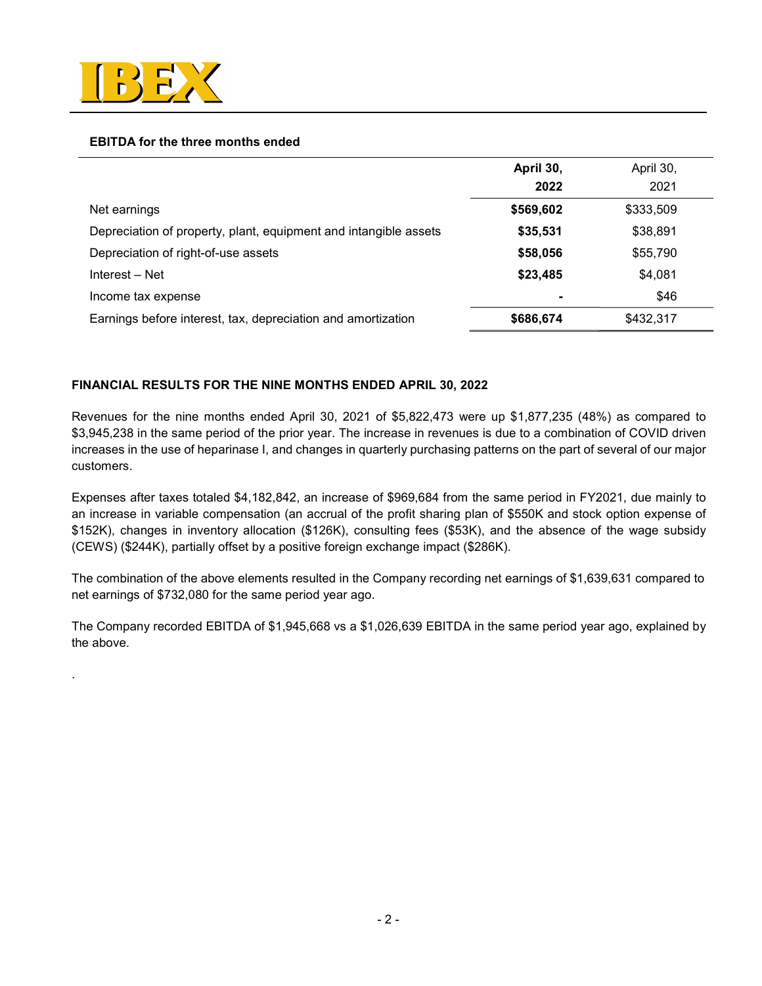

.

### EBITDA for the three months ended

|                                                                  | April 30, | April 30, |  |
|------------------------------------------------------------------|-----------|-----------|--|
|                                                                  | 2022      | 2021      |  |
| Net earnings                                                     | \$569,602 | \$333,509 |  |
| Depreciation of property, plant, equipment and intangible assets | \$35,531  | \$38,891  |  |
| Depreciation of right-of-use assets                              | \$58,056  | \$55,790  |  |
| Interest - Net                                                   | \$23,485  | \$4,081   |  |
| Income tax expense                                               |           | \$46      |  |
| Earnings before interest, tax, depreciation and amortization     | \$686,674 | \$432,317 |  |

## FINANCIAL RESULTS FOR THE NINE MONTHS ENDED APRIL 30, 2022

Revenues for the nine months ended April 30, 2021 of \$5,822,473 were up \$1,877,235 (48%) as compared to \$3,945,238 in the same period of the prior year. The increase in revenues is due to a combination of COVID driven increases in the use of heparinase I, and changes in quarterly purchasing patterns on the part of several of our major customers.

Expenses after taxes totaled \$4,182,842, an increase of \$969,684 from the same period in FY2021, due mainly to an increase in variable compensation (an accrual of the profit sharing plan of \$550K and stock option expense of \$152K), changes in inventory allocation (\$126K), consulting fees (\$53K), and the absence of the wage subsidy (CEWS) (\$244K), partially offset by a positive foreign exchange impact (\$286K).

The combination of the above elements resulted in the Company recording net earnings of \$1,639,631 compared to net earnings of \$732,080 for the same period year ago.

The Company recorded EBITDA of \$1,945,668 vs a \$1,026,639 EBITDA in the same period year ago, explained by the above.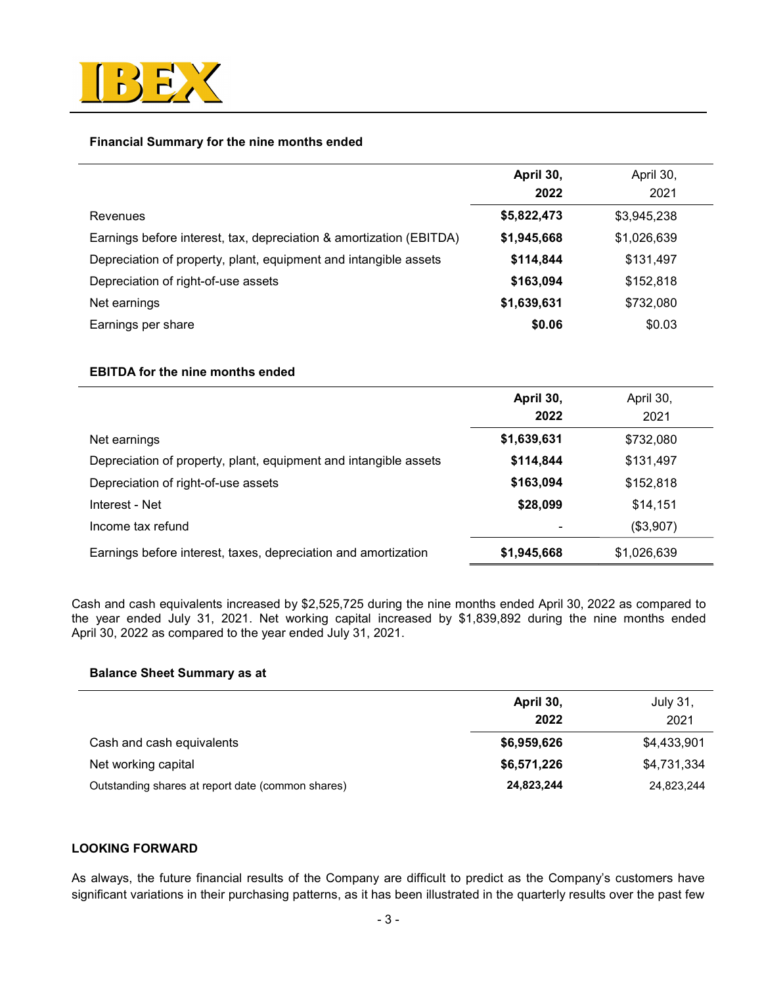

## Financial Summary for the nine months ended

|                                                                     | April 30,<br>2022 | April 30,<br>2021 |  |
|---------------------------------------------------------------------|-------------------|-------------------|--|
| Revenues                                                            | \$5,822,473       | \$3,945,238       |  |
| Earnings before interest, tax, depreciation & amortization (EBITDA) | \$1,945,668       | \$1,026,639       |  |
| Depreciation of property, plant, equipment and intangible assets    | \$114,844         | \$131,497         |  |
| Depreciation of right-of-use assets                                 | \$163,094         | \$152,818         |  |
| Net earnings                                                        | \$1,639,631       | \$732,080         |  |
| Earnings per share                                                  | \$0.06            | \$0.03            |  |

### EBITDA for the nine months ended

|                                                                  | April 30,<br>2022 | April 30,<br>2021 |
|------------------------------------------------------------------|-------------------|-------------------|
| Net earnings                                                     | \$1,639,631       | \$732,080         |
| Depreciation of property, plant, equipment and intangible assets | \$114,844         | \$131,497         |
| Depreciation of right-of-use assets                              | \$163,094         | \$152,818         |
| Interest - Net                                                   | \$28,099          | \$14,151          |
| Income tax refund                                                |                   | (\$3,907)         |
| Earnings before interest, taxes, depreciation and amortization   | \$1,945,668       | \$1,026,639       |

Cash and cash equivalents increased by \$2,525,725 during the nine months ended April 30, 2022 as compared to the year ended July 31, 2021. Net working capital increased by \$1,839,892 during the nine months ended April 30, 2022 as compared to the year ended July 31, 2021.

## Balance Sheet Summary as at

|                                                   | April 30,   | July 31,    |
|---------------------------------------------------|-------------|-------------|
|                                                   | 2022        | 2021        |
| Cash and cash equivalents                         | \$6,959,626 | \$4,433,901 |
| Net working capital                               | \$6,571,226 | \$4,731,334 |
| Outstanding shares at report date (common shares) | 24,823,244  | 24,823,244  |

## LOOKING FORWARD

As always, the future financial results of the Company are difficult to predict as the Company's customers have significant variations in their purchasing patterns, as it has been illustrated in the quarterly results over the past few